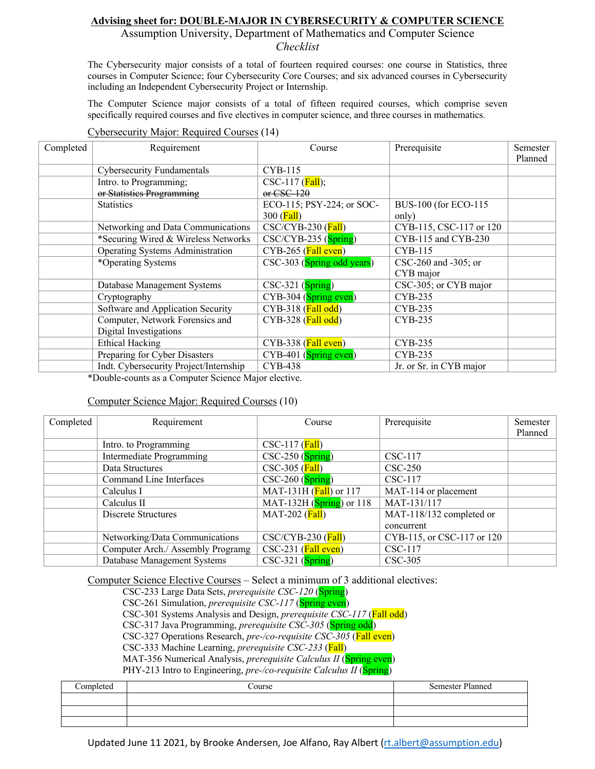## **Advising sheet for: DOUBLE-MAJOR IN CYBERSECURITY & COMPUTER SCIENCE**

Assumption University, Department of Mathematics and Computer Science *Checklist*

The Cybersecurity major consists of a total of fourteen required courses: one course in Statistics, three courses in Computer Science; four Cybersecurity Core Courses; and six advanced courses in Cybersecurity including an Independent Cybersecurity Project or Internship.

The Computer Science major consists of a total of fifteen required courses, which comprise seven specifically required courses and five electives in computer science, and three courses in mathematics.

## Cybersecurity Major: Required Courses (14)

| Completed | Requirement                            | Course                                      | Prerequisite            | Semester |
|-----------|----------------------------------------|---------------------------------------------|-------------------------|----------|
|           |                                        |                                             |                         | Planned  |
|           | <b>Cybersecurity Fundamentals</b>      | <b>CYB-115</b>                              |                         |          |
|           | Intro. to Programming;                 | CSC-117 $(Fall)$ ;                          |                         |          |
|           | or Statistics Programming              | $or$ CSC-120                                |                         |          |
|           | <b>Statistics</b>                      | ECO-115; PSY-224; or SOC-                   | BUS-100 (for ECO-115    |          |
|           |                                        | $300$ ( <b>Fall</b> )                       | only)                   |          |
|           | Networking and Data Communications     | $\text{CSC}/\text{CYB-230}$ ( <b>Fall</b> ) | CYB-115, CSC-117 or 120 |          |
|           | *Securing Wired & Wireless Networks    | $\text{CSC/CYB-235}$ (Spring)               | CYB-115 and CYB-230     |          |
|           | Operating Systems Administration       | $CYB-265$ (Fall even)                       | <b>CYB-115</b>          |          |
|           | *Operating Systems                     | CSC-303 (Spring odd years)                  | CSC-260 and -305; or    |          |
|           |                                        |                                             | CYB major               |          |
|           | Database Management Systems            | $CSC-321$ (Spring)                          | CSC-305; or CYB major   |          |
|           | Cryptography                           | $CYB-304$ (Spring even)                     | CYB-235                 |          |
|           | Software and Application Security      | $CYB-318$ ( <b>Fall odd</b> )               | CYB-235                 |          |
|           | Computer, Network Forensics and        | $CYB-328$ ( <b>Fall odd</b> )               | CYB-235                 |          |
|           | Digital Investigations                 |                                             |                         |          |
|           | <b>Ethical Hacking</b>                 | $CYB-338$ ( <b>Fall even</b> )              | CYB-235                 |          |
|           | Preparing for Cyber Disasters          | $CYB-401$ (Spring even)                     | CYB-235                 |          |
|           | Indt. Cybersecurity Project/Internship | <b>CYB-438</b>                              | Jr. or Sr. in CYB major |          |

\*Double-counts as a Computer Science Major elective.

## Computer Science Major: Required Courses (10)

| Completed | Requirement                       | Course                           | Prerequisite               | Semester |
|-----------|-----------------------------------|----------------------------------|----------------------------|----------|
|           |                                   |                                  |                            | Planned  |
|           | Intro. to Programming             | $\text{CSC-117}$ ( <b>Fall</b> ) |                            |          |
|           | Intermediate Programming          | $\text{CSC-250}$ (Spring)        | CSC-117                    |          |
|           | Data Structures                   | $\text{CSC-305}$ (Fall)          | $CSC-250$                  |          |
|           | Command Line Interfaces           | $\text{CSC-260}$ (Spring)        | CSC-117                    |          |
|           | Calculus I                        | MAT-131H $(Fall)$ or 117         | MAT-114 or placement       |          |
|           | Calculus II                       | MAT-132H $(Spring)$ or 118       | MAT-131/117                |          |
|           | Discrete Structures               | MAT-202 $(Fall)$                 | MAT-118/132 completed or   |          |
|           |                                   |                                  | concurrent                 |          |
|           | Networking/Data Communications    | $\text{CSC/CYB-230}$ (Fall)      | CYB-115, or CSC-117 or 120 |          |
|           | Computer Arch./ Assembly Programg | $CSC-231$ (Fall even)            | CSC-117                    |          |
|           | Database Management Systems       | $CSC-321$ (Spring)               | CSC-305                    |          |

Computer Science Elective Courses – Select a minimum of 3 additional electives:

CSC-233 Large Data Sets, *prerequisite CSC-120* (Spring)

CSC-261 Simulation, *prerequisite CSC-117* (Spring even)

CSC-301 Systems Analysis and Design, *prerequisite CSC-117* (Fall odd)

CSC-317 Java Programming, *prerequisite CSC-305* (Spring odd)

CSC-327 Operations Research, *pre-/co-requisite CSC-305* (Fall even)

CSC-333 Machine Learning, *prerequisite CSC-233* (Fall)

MAT-356 Numerical Analysis, *prerequisite Calculus II* (Spring even)

PHY-213 Intro to Engineering, *pre-/co-requisite Calculus II* (**Spring**)

| Completed | Course | <b>Semester Planned</b> |
|-----------|--------|-------------------------|
|           |        |                         |
|           |        |                         |
|           |        |                         |